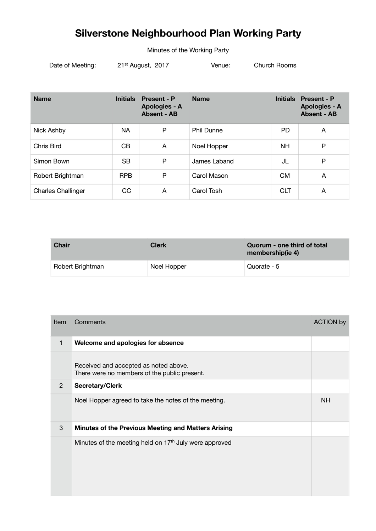## **Silverstone Neighbourhood Plan Working Party**

Minutes of the Working Party

Date of Meeting: 21<sup>st</sup> August, 2017 Venue: Church Rooms

| <b>Name</b>               | <b>Initials</b> | <b>Present - P</b><br>Apologies - A<br><b>Absent - AB</b> | <b>Name</b>       | <b>Initials</b> | <b>Present - P</b><br><b>Apologies - A</b><br><b>Absent - AB</b> |
|---------------------------|-----------------|-----------------------------------------------------------|-------------------|-----------------|------------------------------------------------------------------|
| Nick Ashby                | NA.             | P                                                         | <b>Phil Dunne</b> | <b>PD</b>       | A                                                                |
| Chris Bird                | CB              | A                                                         | Noel Hopper       | <b>NH</b>       | P                                                                |
| Simon Bown                | <b>SB</b>       | P                                                         | James Laband      | JL              | P                                                                |
| Robert Brightman          | <b>RPB</b>      | P                                                         | Carol Mason       | <b>CM</b>       | A                                                                |
| <b>Charles Challinger</b> | CC              | A                                                         | Carol Tosh        | <b>CLT</b>      | A                                                                |

| <b>Chair</b>     | <b>Clerk</b> | Quorum - one third of total<br>membership(ie 4) |
|------------------|--------------|-------------------------------------------------|
| Robert Brightman | Noel Hopper  | Quorate - 5                                     |

| <b>Item</b>   | Comments                                                                              | <b>ACTION by</b> |
|---------------|---------------------------------------------------------------------------------------|------------------|
| $\mathbf{1}$  | Welcome and apologies for absence                                                     |                  |
|               | Received and accepted as noted above.<br>There were no members of the public present. |                  |
| $\mathcal{P}$ | <b>Secretary/Clerk</b>                                                                |                  |
|               | Noel Hopper agreed to take the notes of the meeting.                                  | <b>NH</b>        |
| 3             | Minutes of the Previous Meeting and Matters Arising                                   |                  |
|               | Minutes of the meeting held on 17 <sup>th</sup> July were approved                    |                  |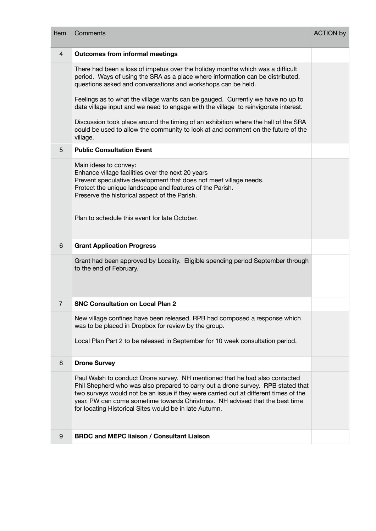| Item           | Comments                                                                                                                                                                                                                                                                                                                                                                                         | <b>ACTION by</b> |
|----------------|--------------------------------------------------------------------------------------------------------------------------------------------------------------------------------------------------------------------------------------------------------------------------------------------------------------------------------------------------------------------------------------------------|------------------|
| $\overline{4}$ | <b>Outcomes from informal meetings</b>                                                                                                                                                                                                                                                                                                                                                           |                  |
|                | There had been a loss of impetus over the holiday months which was a difficult<br>period. Ways of using the SRA as a place where information can be distributed,<br>questions asked and conversations and workshops can be held.                                                                                                                                                                 |                  |
|                | Feelings as to what the village wants can be gauged. Currently we have no up to<br>date village input and we need to engage with the village to reinvigorate interest.                                                                                                                                                                                                                           |                  |
|                | Discussion took place around the timing of an exhibition where the hall of the SRA<br>could be used to allow the community to look at and comment on the future of the<br>village.                                                                                                                                                                                                               |                  |
| $\overline{5}$ | <b>Public Consultation Event</b>                                                                                                                                                                                                                                                                                                                                                                 |                  |
|                | Main ideas to convey:<br>Enhance village facilities over the next 20 years<br>Prevent speculative development that does not meet village needs.<br>Protect the unique landscape and features of the Parish.<br>Preserve the historical aspect of the Parish.                                                                                                                                     |                  |
|                | Plan to schedule this event for late October.                                                                                                                                                                                                                                                                                                                                                    |                  |
|                |                                                                                                                                                                                                                                                                                                                                                                                                  |                  |
| 6              | <b>Grant Application Progress</b>                                                                                                                                                                                                                                                                                                                                                                |                  |
|                | Grant had been approved by Locality. Eligible spending period September through<br>to the end of February.                                                                                                                                                                                                                                                                                       |                  |
| $\overline{7}$ | <b>SNC Consultation on Local Plan 2</b>                                                                                                                                                                                                                                                                                                                                                          |                  |
|                | New village confines have been released. RPB had composed a response which<br>was to be placed in Dropbox for review by the group.                                                                                                                                                                                                                                                               |                  |
|                | Local Plan Part 2 to be released in September for 10 week consultation period.                                                                                                                                                                                                                                                                                                                   |                  |
| 8              | <b>Drone Survey</b>                                                                                                                                                                                                                                                                                                                                                                              |                  |
|                | Paul Walsh to conduct Drone survey. NH mentioned that he had also contacted<br>Phil Shepherd who was also prepared to carry out a drone survey. RPB stated that<br>two surveys would not be an issue if they were carried out at different times of the<br>year. PW can come sometime towards Christmas. NH advised that the best time<br>for locating Historical Sites would be in late Autumn. |                  |